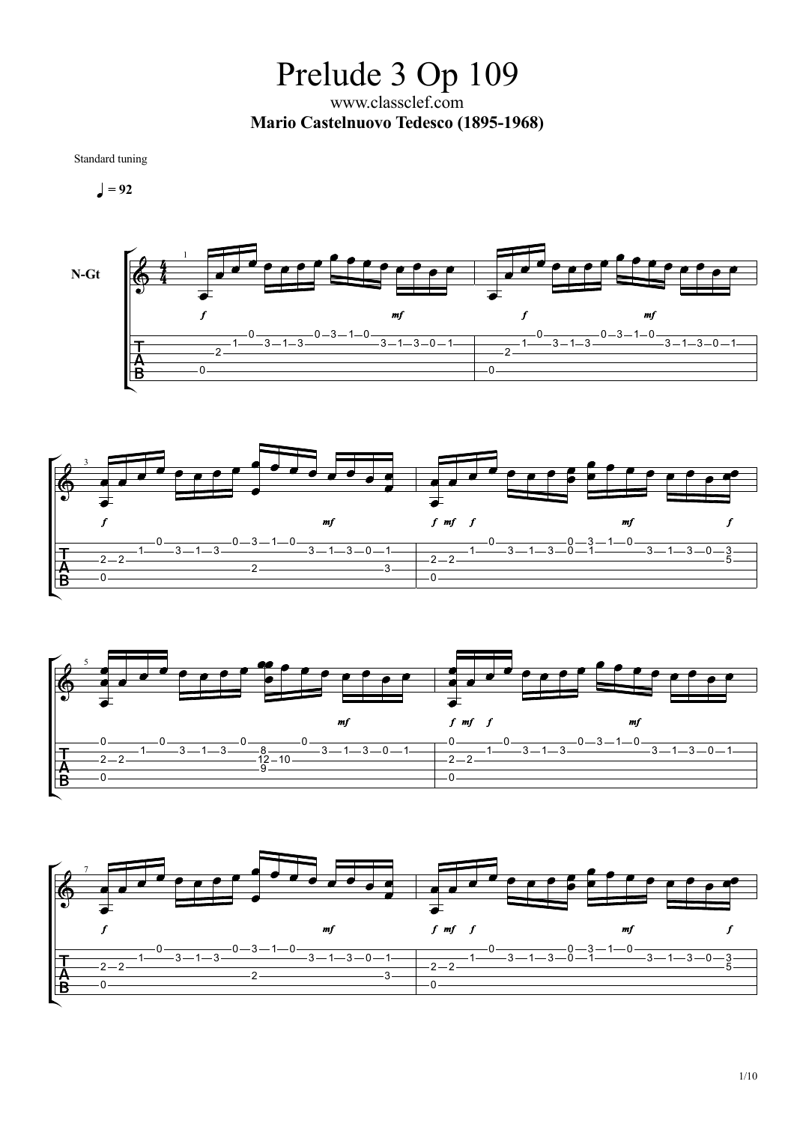Prelude 3 Op 109 www.classclef.com **Mario Castelnuovo Tedesco (1895-1968)**

Standard tuning

$$
\bullet = 92
$$







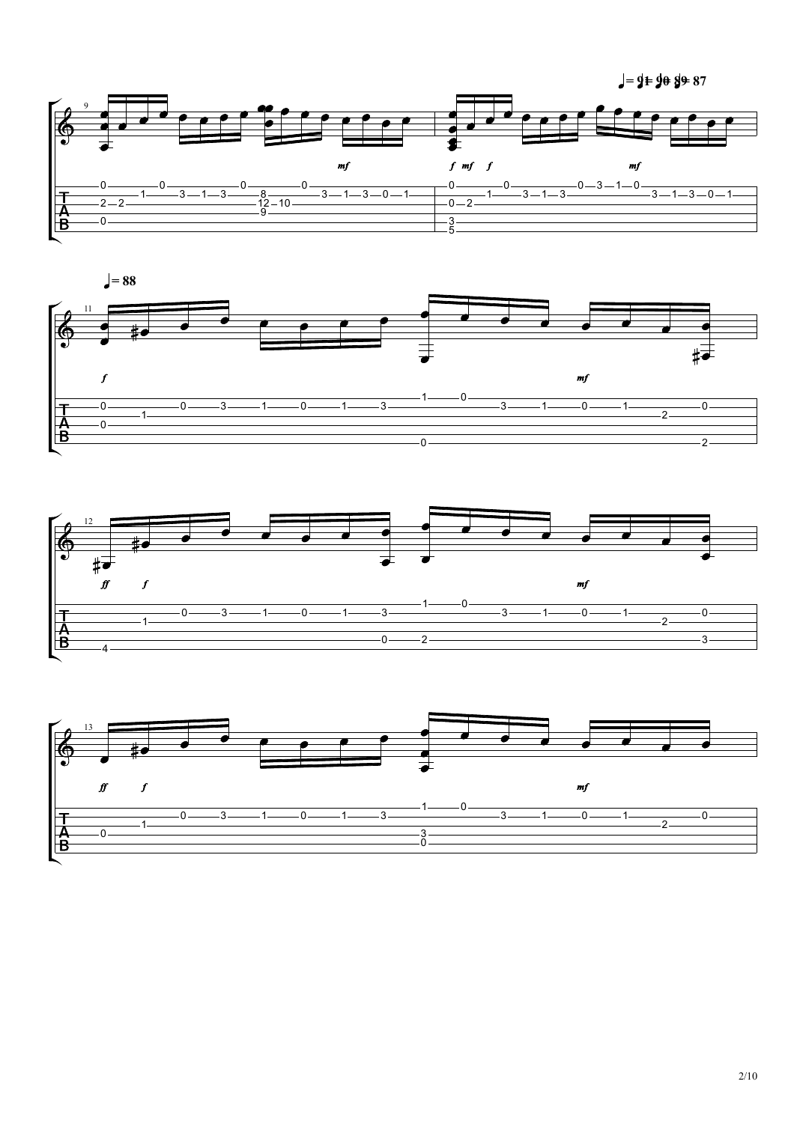

 $= 88$  $0 \longrightarrow 0$  1 0 3 1 0 1 3 1  $\begin{array}{c} \hline \rule{0.3cm}{0.15cm} 0 & \rule{0.3cm}{0.15cm} \end{array}$  $-$  3  $-$  1  $-$  0  $-$  1  $-$  0  $-$ 2 —————— 2 —  $\qquad$   $\qquad$   $\qquad$   $\qquad$   $\qquad$   $\qquad$   $\qquad$   $\qquad$   $\qquad$   $\qquad$   $\qquad$   $\qquad$   $\qquad$   $\qquad$   $\qquad$   $\qquad$   $\qquad$   $\qquad$   $\qquad$   $\qquad$   $\qquad$   $\qquad$   $\qquad$   $\qquad$   $\qquad$   $\qquad$   $\qquad$   $\qquad$   $\qquad$   $\qquad$   $\qquad$   $\qquad$   $\qquad$   $\qquad$   $\qquad$   $\qquad$ 



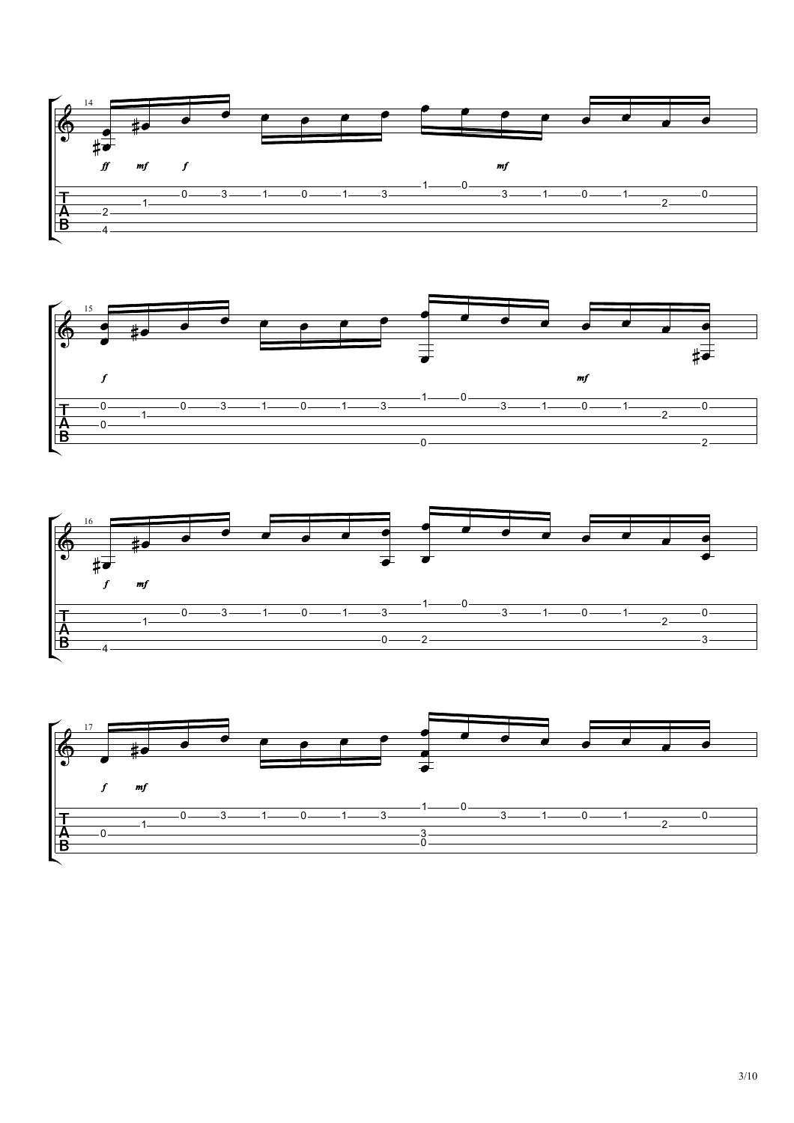





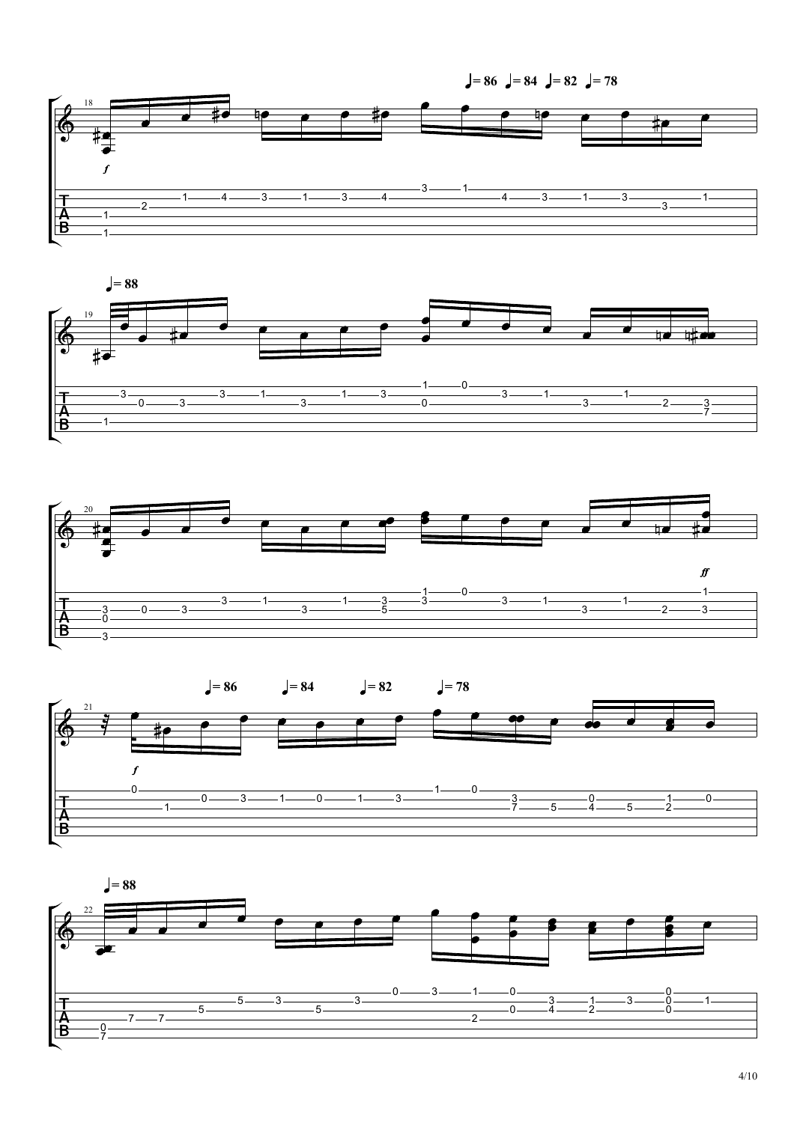







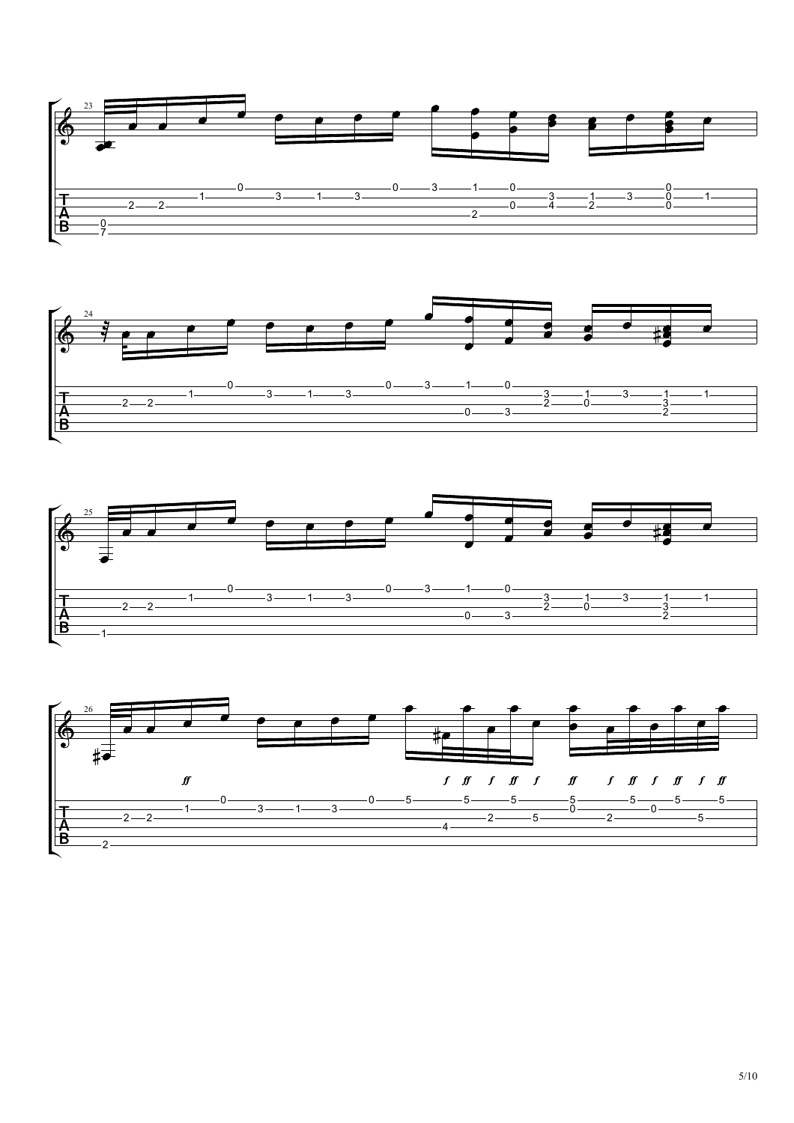





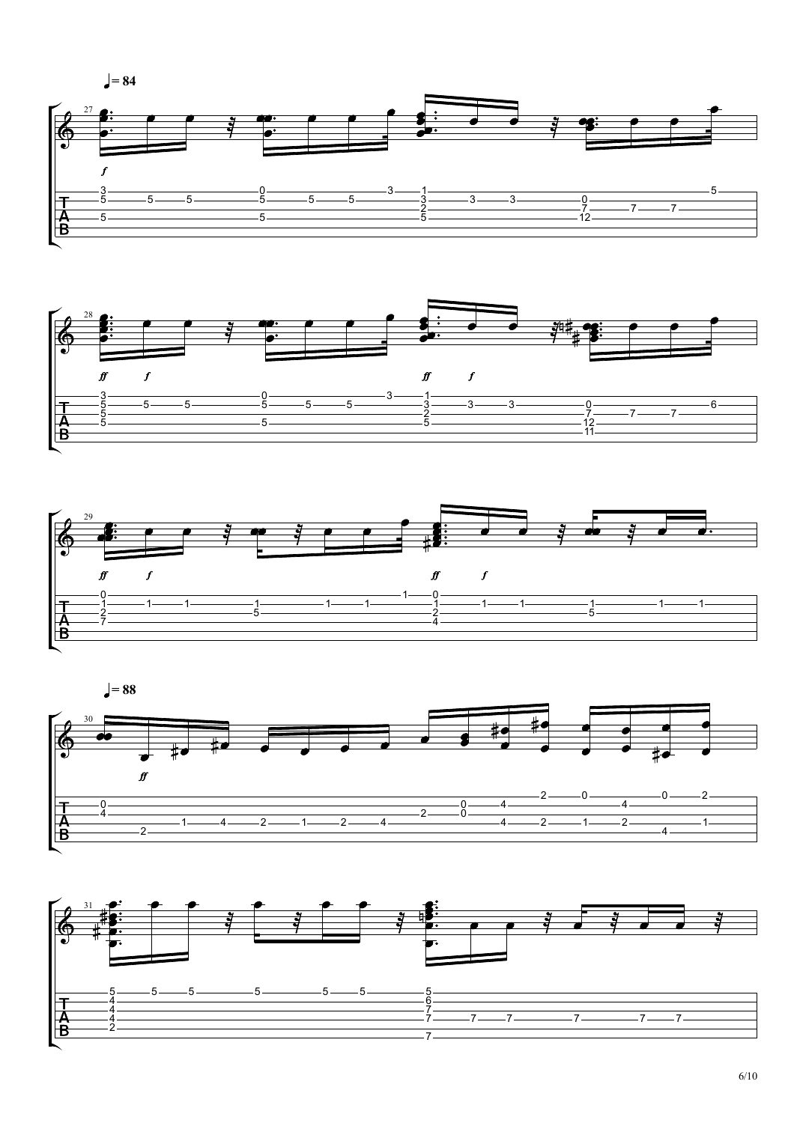







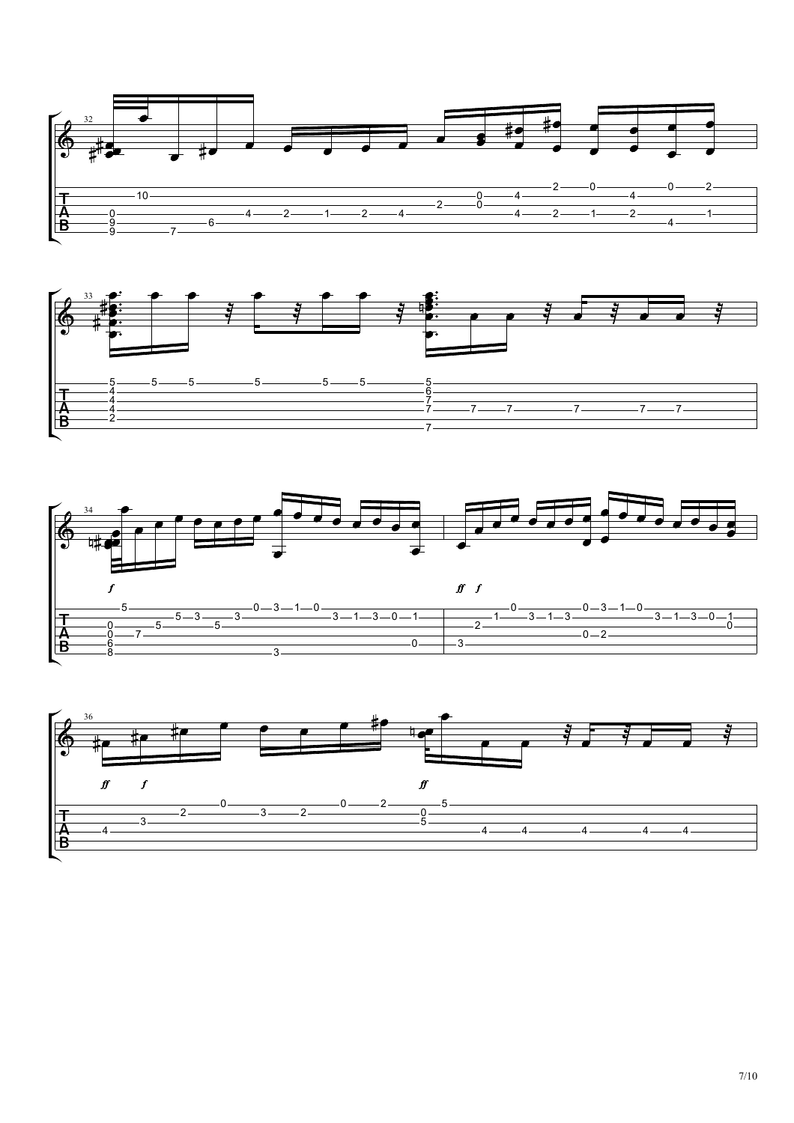





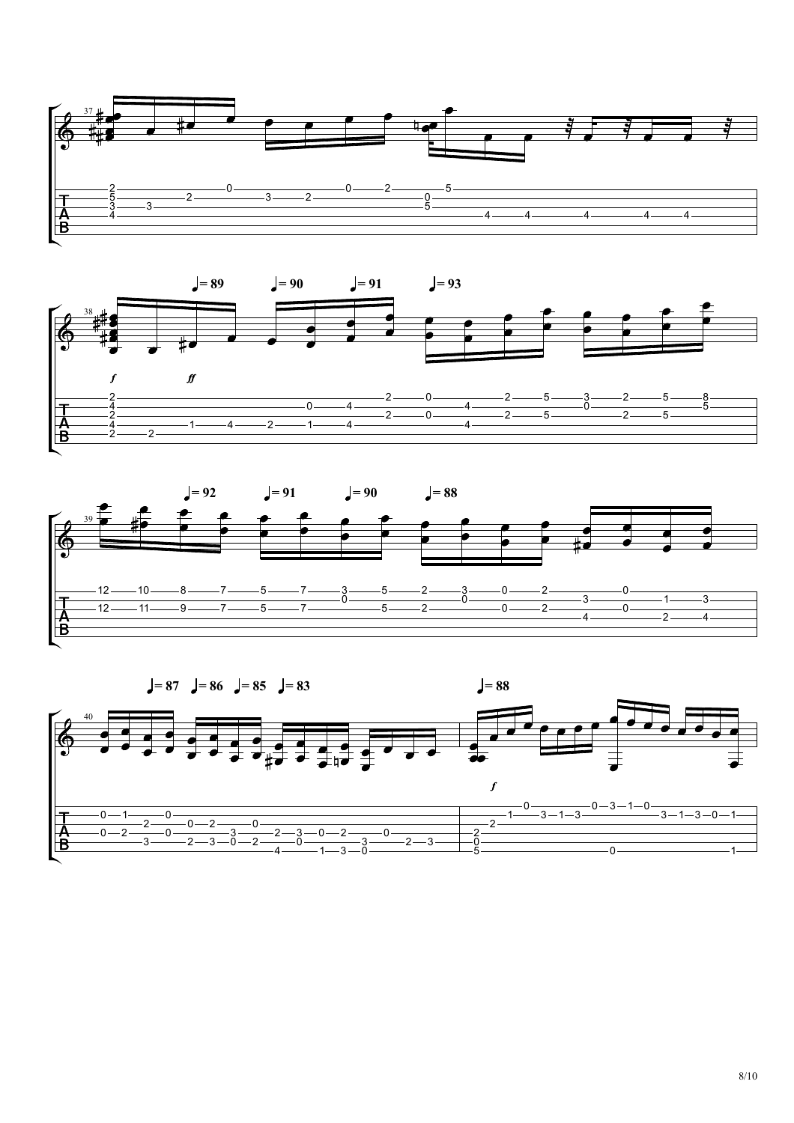





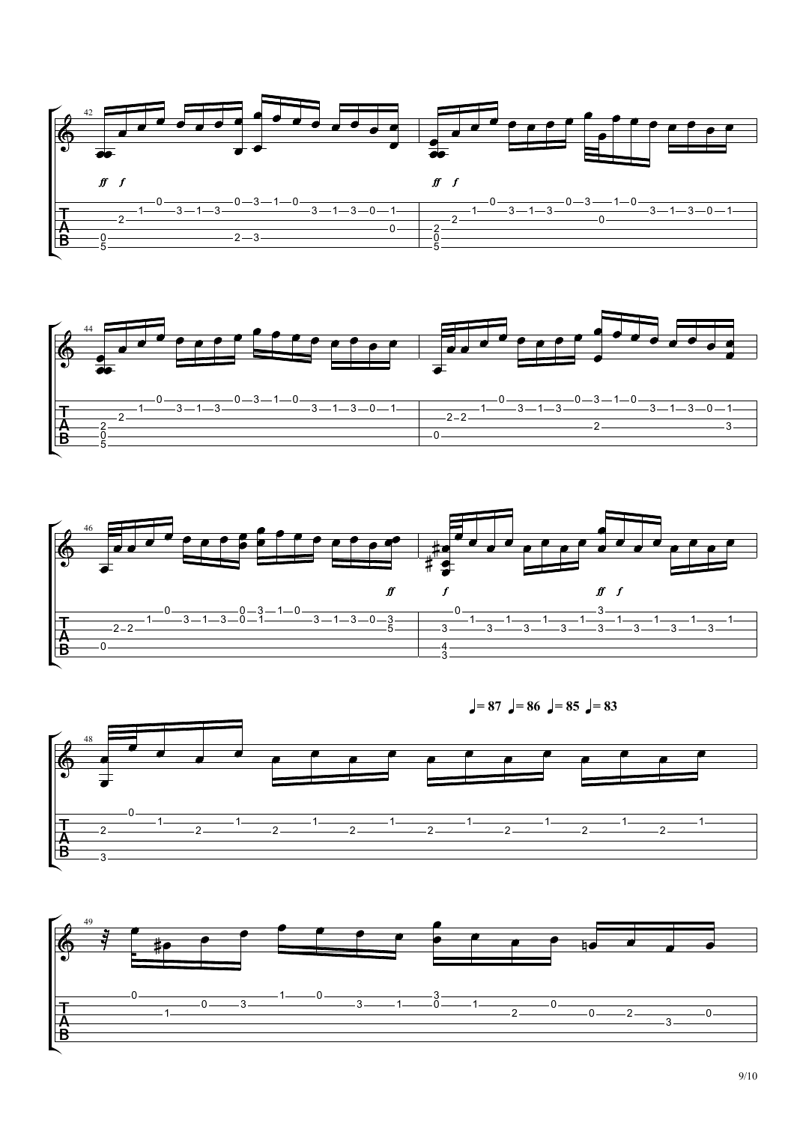